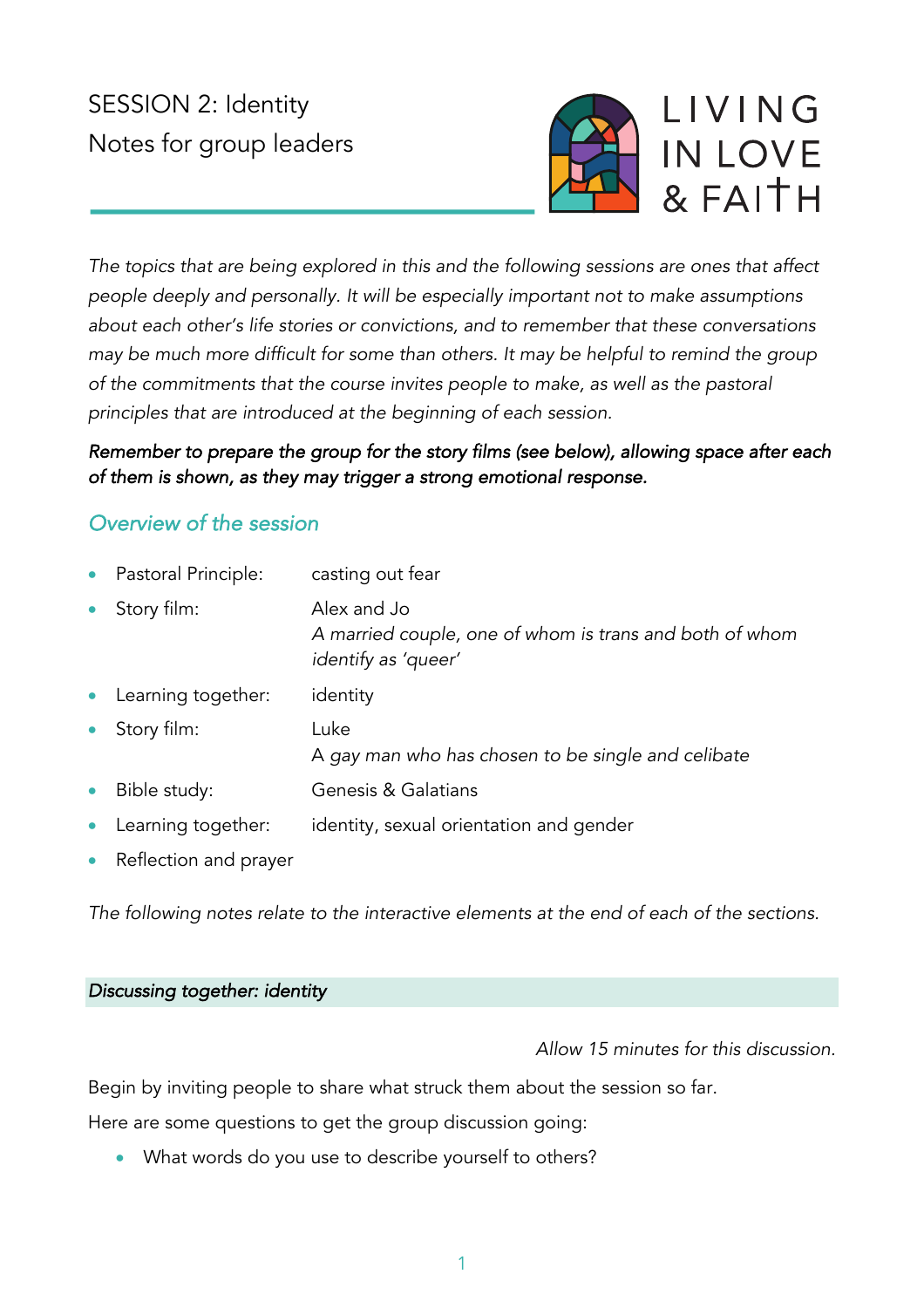# SESSION 2: Identity Notes for group leaders



*The topics that are being explored in this and the following sessions are ones that affect people deeply and personally. It will be especially important not to make assumptions about each other's life stories or convictions, and to remember that these conversations may be much more difficult for some than others. It may be helpful to remind the group of the commitments that the course invites people to make, as well as the pastoral principles that are introduced at the beginning of each session.*

# *Remember to prepare the group for the story films (see below), allowing space after each of them is shown, as they may trigger a strong emotional response.*

# *Overview of the session*

| $\bullet$ | Pastoral Principle: | casting out fear                                                                              |
|-----------|---------------------|-----------------------------------------------------------------------------------------------|
|           | Story film:         | Alex and Jo<br>A married couple, one of whom is trans and both of whom<br>identify as 'queer' |
| $\bullet$ | Learning together:  | identity                                                                                      |
| $\bullet$ | Story film:         | Luke<br>A gay man who has chosen to be single and celibate                                    |
| $\bullet$ | Bible study:        | Genesis & Galatians                                                                           |
| $\bullet$ | Learning together:  | identity, sexual orientation and gender                                                       |

• Reflection and prayer

*The following notes relate to the interactive elements at the end of each of the sections.*

#### *Discussing together: identity*

*Allow 15 minutes for this discussion.*

Begin by inviting people to share what struck them about the session so far.

Here are some questions to get the group discussion going:

• What words do you use to describe yourself to others?